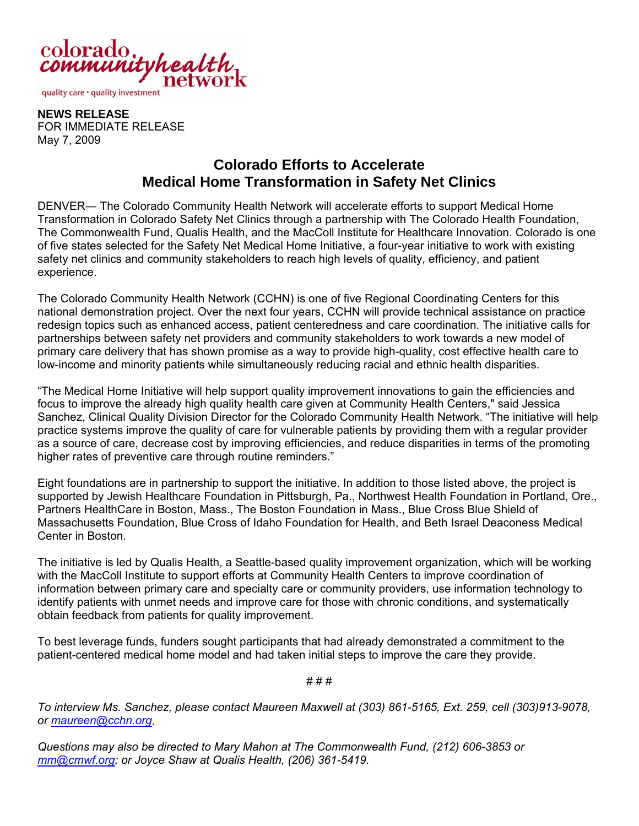

**NEWS RELEASE**  FOR IMMEDIATE RELEASE May 7, 2009

## **Colorado Efforts to Accelerate Medical Home Transformation in Safety Net Clinics**

DENVER― The Colorado Community Health Network will accelerate efforts to support Medical Home Transformation in Colorado Safety Net Clinics through a partnership with The Colorado Health Foundation, The Commonwealth Fund, Qualis Health, and the MacColl Institute for Healthcare Innovation. Colorado is one of five states selected for the Safety Net Medical Home Initiative, a four-year initiative to work with existing safety net clinics and community stakeholders to reach high levels of quality, efficiency, and patient experience.

The Colorado Community Health Network (CCHN) is one of five Regional Coordinating Centers for this national demonstration project. Over the next four years, CCHN will provide technical assistance on practice redesign topics such as enhanced access, patient centeredness and care coordination. The initiative calls for partnerships between safety net providers and community stakeholders to work towards a new model of primary care delivery that has shown promise as a way to provide high-quality, cost effective health care to low-income and minority patients while simultaneously reducing racial and ethnic health disparities.

"The Medical Home Initiative will help support quality improvement innovations to gain the efficiencies and focus to improve the already high quality health care given at Community Health Centers," said Jessica Sanchez, Clinical Quality Division Director for the Colorado Community Health Network. "The initiative will help practice systems improve the quality of care for vulnerable patients by providing them with a regular provider as a source of care, decrease cost by improving efficiencies, and reduce disparities in terms of the promoting higher rates of preventive care through routine reminders."

Eight foundations are in partnership to support the initiative. In addition to those listed above, the project is supported by Jewish Healthcare Foundation in Pittsburgh, Pa., Northwest Health Foundation in Portland, Ore., Partners HealthCare in Boston, Mass., The Boston Foundation in Mass., Blue Cross Blue Shield of Massachusetts Foundation, Blue Cross of Idaho Foundation for Health, and Beth Israel Deaconess Medical Center in Boston.

The initiative is led by Qualis Health, a Seattle-based quality improvement organization, which will be working with the MacColl Institute to support efforts at Community Health Centers to improve coordination of information between primary care and specialty care or community providers, use information technology to identify patients with unmet needs and improve care for those with chronic conditions, and systematically obtain feedback from patients for quality improvement.

To best leverage funds, funders sought participants that had already demonstrated a commitment to the patient-centered medical home model and had taken initial steps to improve the care they provide.

# # #

*To interview Ms. Sanchez, please contact Maureen Maxwell at (303) 861-5165, Ext. 259, cell (303)913-9078, or maureen@cchn.org.* 

*Questions may also be directed to Mary Mahon at The Commonwealth Fund, (212) 606-3853 or mm@cmwf.org; or Joyce Shaw at Qualis Health, (206) 361-5419.*